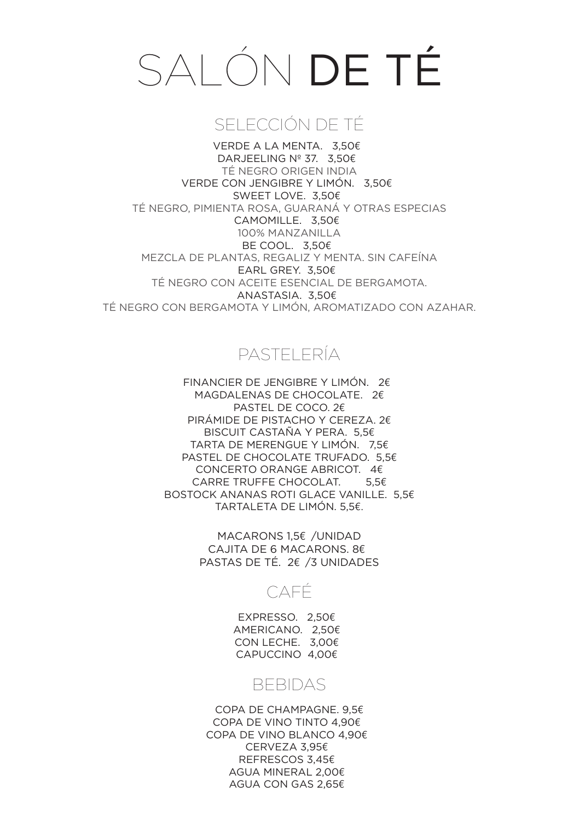# SALÓN DE TÉ

## SELECCIÓN DE TÉ

VERDE A LA MENTA. 3,50€ DARJEELING Nº 37. 3,50€ TÉ NEGRO ORIGEN INDIA VERDE CON JENGIBRE Y LIMÓN. 3,50€ SWEET LOVE. 3,50€ TÉ NEGRO, PIMIENTA ROSA, GUARANÁ Y OTRAS ESPECIAS CAMOMILLE. 3,50€ 100% MANZANILLA BE COOL. 3,50€ MEZCLA DE PLANTAS, REGALIZ Y MENTA. SIN CAFEÍNA EARL GREY. 3,50€ TÉ NEGRO CON ACEITE ESENCIAL DE BERGAMOTA. ANASTASIA. 3,50€ TÉ NEGRO CON BERGAMOTA Y LIMÓN, AROMATIZADO CON AZAHAR.

## PASTELERÍA

FINANCIER DE JENGIBRE Y LIMÓN. 2€ MAGDALENAS DE CHOCOLATE. 2€ PASTEL DE COCO. 2€ PIRÁMIDE DE PISTACHO Y CEREZA. 2€ BISCUIT CASTAÑA Y PERA. 5,5€ TARTA DE MERENGUE Y LIMÓN. 7,5€ PASTEL DE CHOCOLATE TRUFADO. 5,5€ CONCERTO ORANGE ABRICOT. 4€ CARRE TRUFFE CHOCOLAT. 5,5€ BOSTOCK ANANAS ROTI GLACE VANILLE. 5,5€ TARTALETA DE LIMÓN. 5,5€.

> MACARONS 1.5€ /UNIDAD CAJITA DE 6 MACARONS. 8€ PASTAS DE TÉ. 2€ /3 UNIDADES

### CAFÉ

EXPRESSO. 2,50€ AMERICANO. 2,50€ CON LECHE. 3,00€ CAPUCCINO 4,00€

### BEBIDAS

COPA DE CHAMPAGNE. 9,5€ COPA DE VINO TINTO 4,90€ COPA DE VINO BLANCO 4,90€ CERVEZA 3,95€ REFRESCOS 3,45€ AGUA MINERAL 2,00€ AGUA CON GAS 2,65€